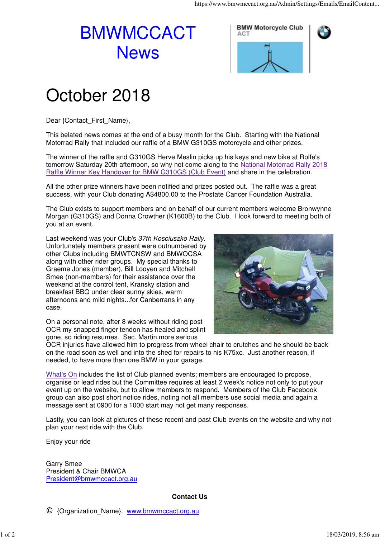## BMWMCCACT **News**





## October 2018

Dear {Contact\_First\_Name},

This belated news comes at the end of a busy month for the Club. Starting with the National Motorrad Rally that included our raffle of a BMW G310GS motorcycle and other prizes.

The winner of the raffle and G310GS Herve Meslin picks up his keys and new bike at Rolfe's tomorrow Saturday 20th afternoon, so why not come along to the National Motorrad Rally 2018 Raffle Winner Key Handover for BMW G310GS (Club Event) and share in the celebration.

All the other prize winners have been notified and prizes posted out. The raffle was a great success, with your Club donating A\$4800.00 to the Prostate Cancer Foundation Australia.

The Club exists to support members and on behalf of our current members welcome Bronwynne Morgan (G310GS) and Donna Crowther (K1600B) to the Club. I look forward to meeting both of you at an event.

Last weekend was your Club's 37th Kosciuszko Rally. Unfortunately members present were outnumbered by other Clubs including BMWTCNSW and BMWOCSA along with other rider groups. My special thanks to Graeme Jones (member), Bill Looyen and Mitchell Smee (non-members) for their assistance over the weekend at the control tent, Kransky station and breakfast BBQ under clear sunny skies, warm afternoons and mild nights...for Canberrans in any case.



On a personal note, after 8 weeks without riding post OCR my snapped finger tendon has healed and splint gone, so riding resumes. Sec. Martin more serious

OCR injuries have allowed him to progress from wheel chair to crutches and he should be back on the road soon as well and into the shed for repairs to his K75xc. Just another reason, if needed, to have more than one BMW in your garage.

What's On includes the list of Club planned events; members are encouraged to propose, organise or lead rides but the Committee requires at least 2 week's notice not only to put your event up on the website, but to allow members to respond. Members of the Club Facebook group can also post short notice rides, noting not all members use social media and again a message sent at 0900 for a 1000 start may not get many responses.

Lastly, you can look at pictures of these recent and past Club events on the website and why not plan your next ride with the Club.

Enjoy your ride

Garry Smee President & Chair BMWCA President@bmwmccact.org.au

**Contact Us**